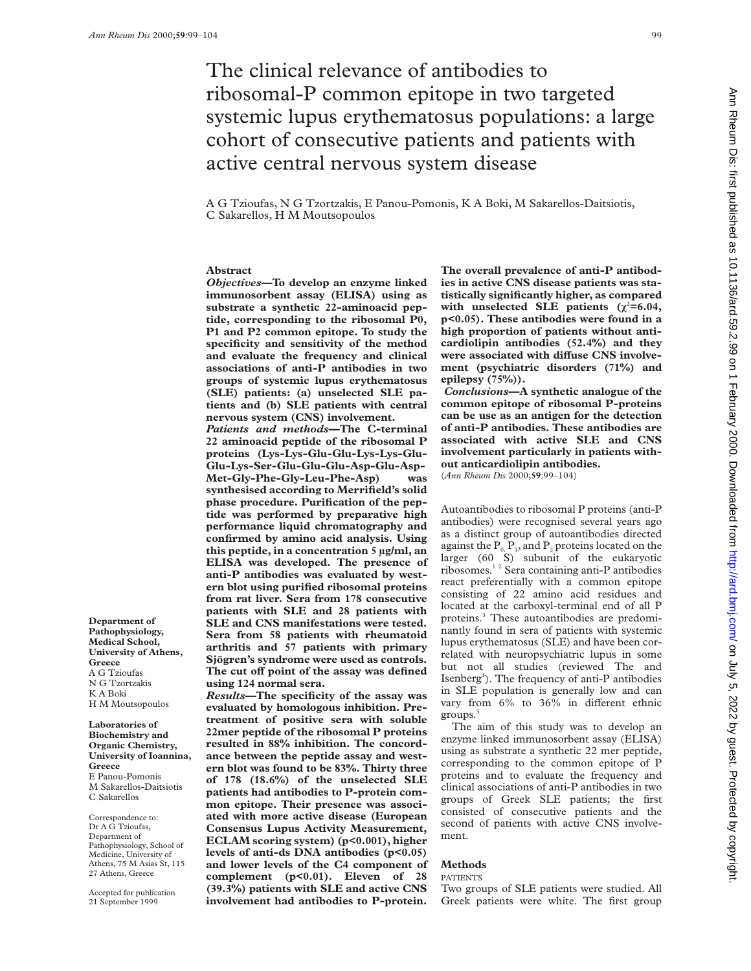# The clinical relevance of antibodies to ribosomal-P common epitope in two targeted systemic lupus erythematosus populations: a large cohort of consecutive patients and patients with active central nervous system disease

A G Tzioufas, N G Tzortzakis, E Panou-Pomonis, K A Boki, M Sakarellos-Daitsiotis, C Sakarellos, H M Moutsopoulos

## **Abstract**

*Objectives***—To develop an enzyme linked immunosorbent assay (ELISA) using as substrate a synthetic 22-aminoacid peptide, corresponding to the ribosomal P0, P1 and P2 common epitope. To study the specificity and sensitivity of the method and evaluate the frequency and clinical associations of anti-P antibodies in two groups of systemic lupus erythematosus (SLE) patients: (a) unselected SLE patients and (b) SLE patients with central nervous system (CNS) involvement.**

*Patients and methods***—The C-terminal 22 aminoacid peptide of the ribosomal P proteins (Lys-Lys-Glu-Glu-Lys-Lys-Glu-Glu-Lys-Ser-Glu-Glu-Glu-Asp-Glu-Asp-Met-Gly-Phe-Gly-Leu-Phe-Asp) was synthesised according to Merrifield's solid phase procedure. Purification of the peptide was performed by preparative high performance liquid chromatography and confirmed by amino acid analysis. Using this peptide, in a concentration 5 µg/ml, an ELISA was developed. The presence of anti-P antibodies was evaluated by western blot using purified ribosomal proteins from rat liver. Sera from 178 consecutive patients with SLE and 28 patients with SLE and CNS manifestations were tested. Sera from 58 patients with rheumatoid arthritis and 57 patients with primary Sjögren's syndrome were used as controls.** The cut off point of the assay was defined **using 124 normal sera.**

*Results***—The specificity of the assay was evaluated by homologous inhibition. Pretreatment of positive sera with soluble 22mer peptide of the ribosomal P proteins resulted in 88% inhibition. The concordance between the peptide assay and western blot was found to be 83%. Thirty three of 178 (18.6%) of the unselected SLE patients had antibodies to P-protein common epitope. Their presence was associated with more active disease (European Consensus Lupus Activity Measurement, ECLAM scoring system) (p<0.001), higher levels of anti-ds DNA antibodies (p<0.05) and lower levels of the C4 component of complement (p<0.01). Eleven of 28 (39.3%) patients with SLE and active CNS involvement had antibodies to P-protein.**

**The overall prevalence of anti-P antibodies in active CNS disease patients was statistically significantly higher, as compared** with unselected SLE patients  $(\chi^2=6.04,$ **p<0.05). These antibodies were found in a high proportion of patients without anticardiolipin antibodies (52.4%) and they** were associated with diffuse CNS involve**ment (psychiatric disorders (71%) and epilepsy (75%)).**

*Conclusions***—A synthetic analogue of the common epitope of ribosomal P-proteins can be use as an antigen for the detection of anti-P antibodies. These antibodies are associated with active SLE and CNS involvement particularly in patients without anticardiolipin antibodies.**

(*Ann Rheum Dis* 2000;**59**:99–104)

Autoantibodies to ribosomal P proteins (anti-P antibodies) were recognised several years ago as a distinct group of autoantibodies directed against the  $P_0$ ,  $P_1$ , and  $P_2$  proteins located on the larger (60 S) subunit of the eukaryotic ribosomes.1 2 Sera containing anti-P antibodies react preferentially with a common epitope consisting of 22 amino acid residues and located at the carboxyl-terminal end of all P proteins.3 These autoantibodies are predominantly found in sera of patients with systemic lupus erythematosus (SLE) and have been correlated with neuropsychiatric lupus in some but not all studies (reviewed The and Isenberg<sup>4</sup>). The frequency of anti-P antibodies in SLE population is generally low and can vary from  $6\%$  to  $36\%$  in different ethnic groups.<sup>5</sup>

The aim of this study was to develop an enzyme linked immunosorbent assay (ELISA) using as substrate a synthetic 22 mer peptide, corresponding to the common epitope of P proteins and to evaluate the frequency and clinical associations of anti-P antibodies in two groups of Greek SLE patients; the first consisted of consecutive patients and the second of patients with active CNS involvement.

## **Methods**

PATIENTS

Two groups of SLE patients were studied. All Greek patients were white. The first group

**Department of Pathophysiology, Medical School, University of Athens, Greece** A G Tzioufas N G Tzortzakis K A Boki H M Moutsopoulos

**Laboratories of Biochemistry and Organic Chemistry, University of Ioannina, Greece** E Panou-Pomonis M Sakarellos-Daitsiotis C Sakarellos

Correspondence to: Dr A G Tzioufas, Department of Pathophysiology, School of Medicine, University of Athens, 75 M Asias St, 115 27 Athens, Greece

Accepted for publication 21 September 1999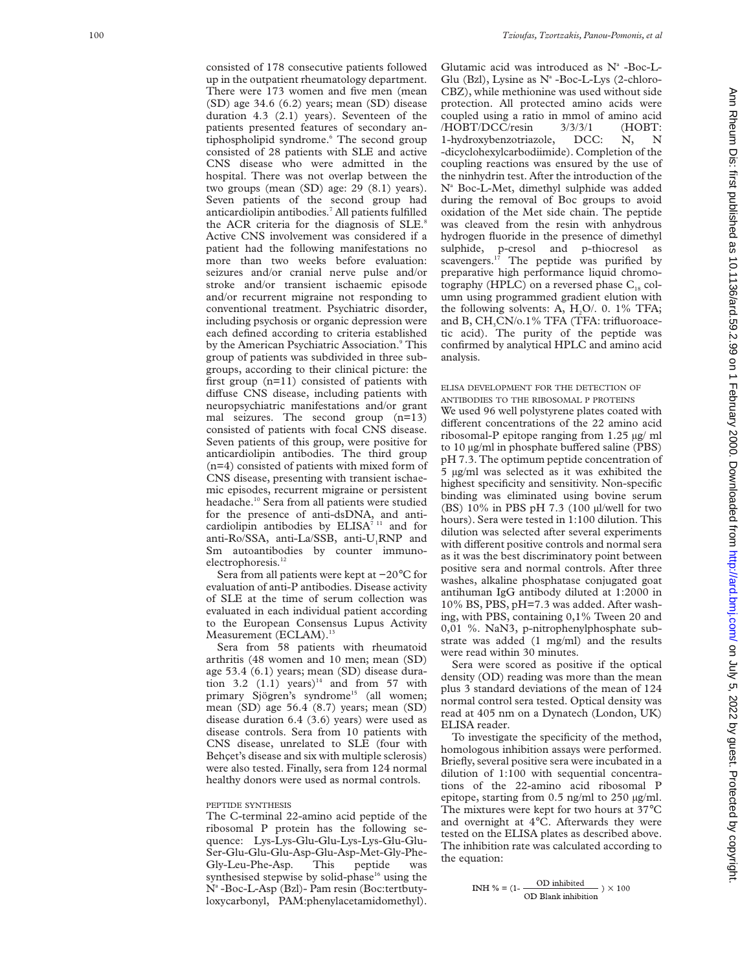consisted of 178 consecutive patients followed up in the outpatient rheumatology department. There were 173 women and five men (mean (SD) age 34.6 (6.2) years; mean (SD) disease duration 4.3 (2.1) years). Seventeen of the patients presented features of secondary antiphospholipid syndrome.<sup>6</sup> The second group consisted of 28 patients with SLE and active CNS disease who were admitted in the hospital. There was not overlap between the two groups (mean (SD) age: 29 (8.1) years). Seven patients of the second group had anticardiolipin antibodies. <sup>7</sup> All patients fulfilled 100 *Tzioufas, Tzortzakis, Panou-Pomonis, et al*

the ACR criteria for the diagnosis of SLE.<sup>8</sup> Active CNS involvement was considered if a patient had the following manifestations no more than two weeks before evaluation: seizures and/or cranial nerve pulse and/or stroke and/or transient ischaemic episode and/or recurrent migraine not responding to conventional treatment. Psychiatric disorder, including psychosis or organic depression were each defined according to criteria established by the American Psychiatric Association. <sup>9</sup> This group of patients was subdivided in three subgroups, according to their clinical picture: the first group (n=11) consisted of patients with diffuse CNS disease, including patients with neuropsychiatric manifestations and/or grant mal seizures. The second group (n=13) consisted of patients with focal CNS disease. Seven patients of this group, were positive for anticardiolipin antibodies. The third group (n=4) consisted of patients with mixed form of CNS disease, presenting with transient ischaemic episodes, recurrent migraine or persistent headache.10 Sera from all patients were studied for the presence of anti-dsDNA, and anticardiolipin antibodies by ELISA<sup>7 11</sup> and for anti-Ro/SSA, anti-La/SSB, anti-U 1RNP and Sm autoantibodies by counter immunoelectrophoresis.<sup>12</sup>

Sera from all patients were kept at −20 °C for evaluation of anti-P antibodies. Disease activity of SLE at the time of serum collection was evaluated in each individual patient according to the European Consensus Lupus Activity Measurement (ECLAM).<sup>13</sup>

Sera from 58 patients with rheumatoid arthritis (48 women and 10 men; mean (SD) age 53.4 (6.1) years; mean (SD) disease duration 3.2  $(1.1)$  years)<sup>14</sup> and from 57 with primary Sjögren's syndrome<sup>15</sup> (all women; mean (SD) age 56.4 (8.7) years; mean (SD) disease duration 6.4 (3.6) years) were used as disease controls. Sera from 10 patients with CNS disease, unrelated to SLE (four with Behçet's disease and six with multiple sclerosis) were also tested. Finally, sera from 124 normal healthy donors were used as normal controls.

#### PEPTIDE SYNTHESIS

The C-terminal 22-amino acid peptide of the ribosomal P protein has the following sequence: Lys-Lys-Glu-Glu-Lys-Lys-Glu-Glu-Ser-Glu-Glu-Glu-Asp-Glu-Asp-Met-Gly-Phe-Gly-Leu-Phe-Asp. This peptide was synthesised stepwise by solid-phase $16$  using the N<sup>a</sup>-Boc-L-Asp (Bzl)- Pam resin (Boc:tertbutyloxycarbonyl, PAM:phenylacetamidomethyl).

Glutamic acid was introduced as N <sup>a</sup> -Boc-L-Glu (Bzl), Lysine as  $N^a$ -Boc-L-Lys (2-chloro-CBZ), while methionine was used without side protection. All protected amino acids were coupled using a ratio in mmol of amino acid  $/HOBT/DCC/resin$   $3/3/3/1$  (HOBT:<br>1-hydroxybenzotriazole, DCC: N, N 1-hydroxybenzotriazole, DCC: N, N -dicyclohexylcarbodiimide). Completion of the coupling reactions was ensured by the use of the ninhydrin test. After the introduction of the Na Boc-L-Met, dimethyl sulphide was added during the removal of Boc groups to avoid oxidation of the Met side chain. The peptide was cleaved from the resin with anhydrous hydrogen fluoride in the presence of dimethyl sulphide, p-cresol and p-thiocresol as scavengers.<sup>17</sup> The peptide was purified by preparative high performance liquid chromotography (HPLC) on a reversed phase  $C_{18}$  column using programmed gradient elution with the following solvents: A,  $H_2O/10.1\%$  TFA; and B, CH 3CN/o.1% TFA (TFA: trifluoroacetic acid). The purity of the peptide was confirmed by analytical HPLC and amino acid analysis.

#### ELISA DEVELOPMENT FOR THE DETECTION OF ANTIBODIES TO THE RIBOSOMAL P PROTEINS

We used 96 well polystyrene plates coated with different concentrations of the 22 amino acid ribosomal-P epitope ranging from 1.25 µg/ ml to 10 µg/ml in phosphate buffered saline (PBS) pH 7.3. The optimum peptide concentration of 5 µg/ml was selected as it was exhibited the highest specificity and sensitivity. Non-specific binding was eliminated using bovine serum (BS) 10% in PBS pH 7.3 (100 µl/well for two hours). Sera were tested in 1:100 dilution. This dilution was selected after several experiments with different positive controls and normal sera as it was the best discriminatory point between positive sera and normal controls. After three washes, alkaline phosphatase conjugated goat antihuman IgG antibody diluted at 1:2000 in 10% BS, PBS, pH=7.3 was added. After washing, with PBS, containing 0,1% Tween 20 and 0,01 %. NaN3, p-nitrophenylphosphate substrate was added (1 mg/ml) and the results were read within 30 minutes.

Sera were scored as positive if the optical density (OD) reading was more than the mean plus 3 standard deviations of the mean of 124 normal control sera tested. Optical density was read at 405 nm on a Dynatech (London, UK) ELISA reader.

To investigate the specificity of the method, homologous inhibition assays were performed. Briefly, several positive sera were incubated in a dilution of 1:100 with sequential concentrations of the 22-amino acid ribosomal P epitope, starting from 0.5 ng/ml to 250 µg/ml. The mixtures were kept for two hours at 37°C and overnight at 4 °C. Afterwards they were tested on the ELISA plates as described above. The inhibition rate was calculated according to the equation:

```
INH % = (1 - \frac{OD \text{ inhibited}}{OD \text{ Blank inhibition}}) \times 100
```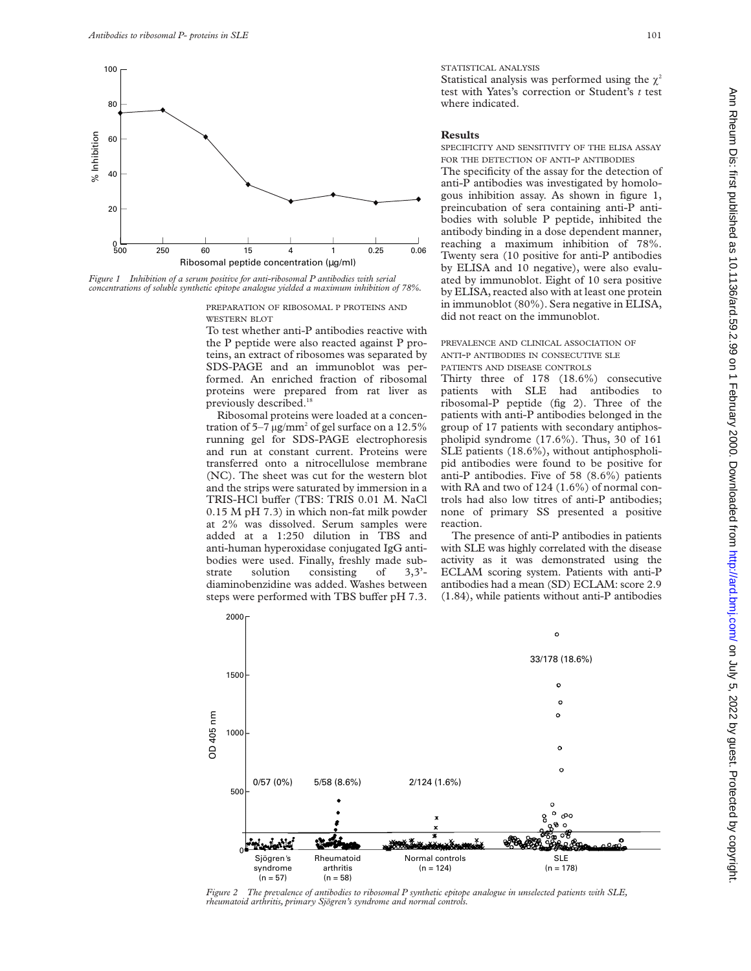

*Figure 1 Inhibition of a serum positive for anti-ribosomal P antibodies with serial concentrations of soluble synthetic epitope analogue yielded a maximum inhibition of 78%.*

PREPARATION OF RIBOSOMAL P PROTEINS AND WESTERN BLOT

To test whether anti-P antibodies reactive with the P peptide were also reacted against P proteins, an extract of ribosomes was separated by SDS-PAGE and an immunoblot was performed. An enriched fraction of ribosomal proteins were prepared from rat liver as previously described.<sup>18</sup>

Ribosomal proteins were loaded at a concentration of 5–7  $\mu$ g/mm<sup>2</sup> of gel surface on a 12.5% running gel for SDS-PAGE electrophoresis and run at constant current. Proteins were transferred onto a nitrocellulose membrane (NC). The sheet was cut for the western blot and the strips were saturated by immersion in a TRIS-HCl buffer (TBS: TRIS 0.01 M. NaCl 0.15 M pH 7.3) in which non-fat milk powder at 2% was dissolved. Serum samples were added at a 1:250 dilution in TBS and anti-human hyperoxidase conjugated IgG antibodies were used. Finally, freshly made sub-<br>strate solution consisting of 3.3'solution consisting of  $3,3'$ diaminobenzidine was added. Washes between steps were performed with TBS buffer pH 7.3.

STATISTICAL ANALYSIS

Statistical analysis was performed using the  $\chi^2$ test with Yates's correction or Student's *t* test where indicated.

## **Results**

SPECIFICITY AND SENSITIVITY OF THE ELISA ASSAY FOR THE DETECTION OF ANTI-P ANTIBODIES

The specificity of the assay for the detection of anti-P antibodies was investigated by homologous inhibition assay. As shown in figure 1, preincubation of sera containing anti-P antibodies with soluble P peptide, inhibited the antibody binding in a dose dependent manner, reaching a maximum inhibition of 78%. Twenty sera (10 positive for anti-P antibodies by ELISA and 10 negative), were also evaluated by immunoblot. Eight of 10 sera positive by ELISA, reacted also with at least one protein in immunoblot (80%). Sera negative in ELISA, did not react on the immunoblot.

PREVALENCE AND CLINICAL ASSOCIATION OF ANTI-P ANTIBODIES IN CONSECUTIVE SLE PATIENTS AND DISEASE CONTROLS

Thirty three of 178 (18.6%) consecutive patients with SLE had antibodies to ribosomal-P peptide (fig 2). Three of the patients with anti-P antibodies belonged in the group of 17 patients with secondary antiphospholipid syndrome (17.6%). Thus, 30 of 161 SLE patients (18.6%), without antiphospholipid antibodies were found to be positive for anti-P antibodies. Five of 58 (8.6%) patients with RA and two of 124 (1.6%) of normal controls had also low titres of anti-P antibodies; none of primary SS presented a positive reaction.

The presence of anti-P antibodies in patients with SLE was highly correlated with the disease activity as it was demonstrated using the ECLAM scoring system. Patients with anti-P antibodies had a mean (SD) ECLAM: score 2.9 (1.84), while patients without anti-P antibodies



*Figure 2 The prevalence of antibodies to ribosomal P synthetic epitope analogue in unselected patients with SLE, rheumatoid arthritis, primary Sjögren's syndrome and normal controls.*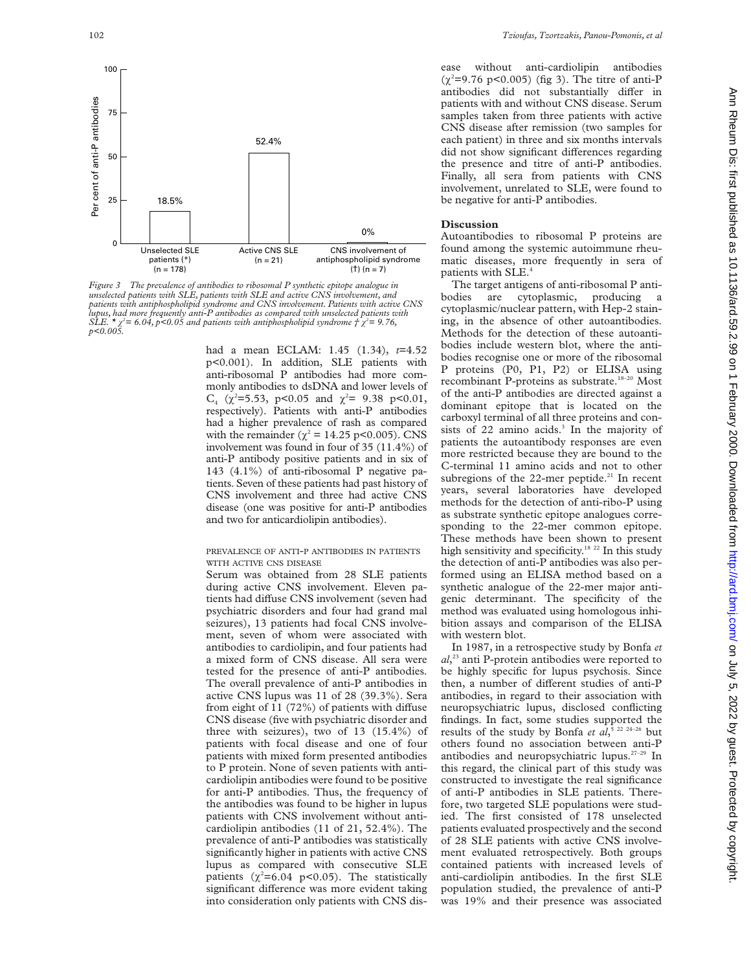

*Figure 3 The prevalence of antibodies to ribosomal P synthetic epitope analogue in unselected patients with SLE, patients with SLE and active CNS involvement, and patients with antiphospholipid syndrome and CNS involvement. Patients with active CNS* lupus, had more frequently anti-P antibodies as compared with unselected patients with<br>SLE. \* χ²= 6.04, p<0.05 and patients with antiphospholipid syndrome † χ²= 9.76,<br>p<0.005.

had a mean ECLAM: 1.45 (1.34), *t*=4.52 p<0.001). In addition, SLE patients with anti-ribosomal P antibodies had more commonly antibodies to dsDNA and lower levels of  $C_4$  ( $\chi^2$ =5.53, p<0.05 and  $\chi^2$ = 9.38 p<0.01, respectively). Patients with anti-P antibodies had a higher prevalence of rash as compared with the remainder ( $\chi^2 = 14.25$  p<0.005). CNS involvement was found in four of 35 (11.4%) of anti-P antibody positive patients and in six of 143 (4.1%) of anti-ribosomal P negative patients. Seven of these patients had past history of CNS involvement and three had active CNS disease (one was positive for anti-P antibodies and two for anticardiolipin antibodies).

### PREVALENCE OF ANTI-P ANTIBODIES IN PATIENTS WITH ACTIVE CNS DISEASE

Serum was obtained from 28 SLE patients during active CNS involvement. Eleven patients had diffuse CNS involvement (seven had psychiatric disorders and four had grand mal seizures), 13 patients had focal CNS involvement, seven of whom were associated with antibodies to cardiolipin, and four patients had a mixed form of CNS disease. All sera were tested for the presence of anti-P antibodies. The overall prevalence of anti-P antibodies in active CNS lupus was 11 of 28 (39.3%). Sera from eight of 11  $(72%)$  of patients with diffuse CNS disease (five with psychiatric disorder and three with seizures), two of 13 (15.4%) of patients with focal disease and one of four patients with mixed form presented antibodies to P protein. None of seven patients with anticardiolipin antibodies were found to be positive for anti-P antibodies. Thus, the frequency of the antibodies was found to be higher in lupus patients with CNS involvement without anticardiolipin antibodies (11 of 21, 52.4%). The prevalence of anti-P antibodies was statistically significantly higher in patients with active CNS lupus as compared with consecutive SLE patients  $(\chi^2=6.04 \text{ p} < 0.05)$ . The statistically significant difference was more evident taking into consideration only patients with CNS disease without anti-cardiolipin antibodies  $(\chi^2 = 9.76 \text{ p} < 0.005)$  (fig 3). The titre of anti-P antibodies did not substantially differ in patients with and without CNS disease. Serum samples taken from three patients with active CNS disease after remission (two samples for each patient) in three and six months intervals did not show significant differences regarding the presence and titre of anti-P antibodies. Finally, all sera from patients with CNS involvement, unrelated to SLE, were found to be negative for anti-P antibodies.

## **Discussion**

Autoantibodies to ribosomal P proteins are found among the systemic autoimmune rheumatic diseases, more frequently in sera of patients with SLE.<sup>4</sup>

The target antigens of anti-ribosomal P antibodies are cytoplasmic, producing cytoplasmic/nuclear pattern, with Hep-2 staining, in the absence of other autoantibodies. Methods for the detection of these autoantibodies include western blot, where the antibodies recognise one or more of the ribosomal P proteins (P0, P1, P2) or ELISA using recombinant P-proteins as substrate.<sup>18-20</sup> Most of the anti-P antibodies are directed against a dominant epitope that is located on the carboxyl terminal of all three proteins and consists of  $22$  amino acids.<sup>3</sup> In the majority of patients the autoantibody responses are even more restricted because they are bound to the C-terminal 11 amino acids and not to other subregions of the 22-mer peptide.<sup>21</sup> In recent years, several laboratories have developed methods for the detection of anti-ribo-P using as substrate synthetic epitope analogues corresponding to the 22-mer common epitope. These methods have been shown to present high sensitivity and specificity.<sup>18 22</sup> In this study the detection of anti-P antibodies was also performed using an ELISA method based on a synthetic analogue of the 22-mer major antigenic determinant. The specificity of the method was evaluated using homologous inhibition assays and comparison of the ELISA with western blot.

In 1987, in a retrospective study by Bonfa *et al*, <sup>23</sup> anti P-protein antibodies were reported to be highly specific for lupus psychosis. Since then, a number of different studies of anti-P antibodies, in regard to their association with neuropsychiatric lupus, disclosed conflicting findings. In fact, some studies supported the results of the study by Bonfa *et al*, 5 22 24–26 but others found no association between anti-P antibodies and neuropsychiatric lupus.27–29 In this regard, the clinical part of this study was constructed to investigate the real significance of anti-P antibodies in SLE patients. Therefore, two targeted SLE populations were studied. The first consisted of 178 unselected patients evaluated prospectively and the second of 28 SLE patients with active CNS involvement evaluated retrospectively. Both groups contained patients with increased levels of anti-cardiolipin antibodies. In the first SLE population studied, the prevalence of anti-P was 19% and their presence was associated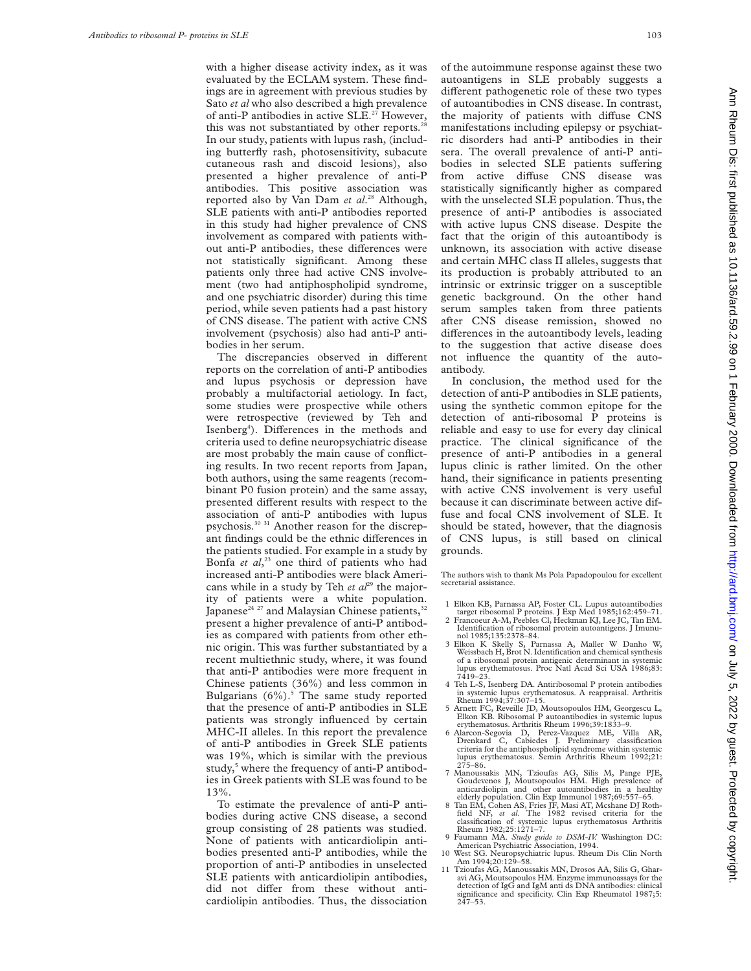with a higher disease activity index, as it was evaluated by the ECLAM system. These findings are in agreement with previous studies by Sato *et al* who also described a high prevalence of anti-P antibodies in active SLE.<sup>27</sup> However, this was not substantiated by other reports.<sup>2</sup> In our study, patients with lupus rash, (including butterfly rash, photosensitivity, subacute cutaneous rash and discoid lesions), also presented a higher prevalence of anti-P antibodies. This positive association was reported also by Van Dam *et al*. <sup>28</sup> Although, SLE patients with anti-P antibodies reported in this study had higher prevalence of CNS involvement as compared with patients without anti-P antibodies, these differences were not statistically significant. Among these patients only three had active CNS involvement (two had antiphospholipid syndrome, and one psychiatric disorder) during this time period, while seven patients had a past history of CNS disease. The patient with active CNS involvement (psychosis) also had anti-P antibodies in her serum.

The discrepancies observed in different reports on the correlation of anti-P antibodies and lupus psychosis or depression have probably a multifactorial aetiology. In fact, some studies were prospective while others were retrospective (reviewed by Teh and Isenberg<sup>4</sup>). Differences in the methods and criteria used to define neuropsychiatric disease are most probably the main cause of conflicting results. In two recent reports from Japan, both authors, using the same reagents (recombinant P0 fusion protein) and the same assay, presented different results with respect to the association of anti-P antibodies with lupus psychosis.30 31 Another reason for the discrepant findings could be the ethnic differences in the patients studied. For example in a study by Bonfa *et al*, <sup>23</sup> one third of patients who had increased anti-P antibodies were black Americans while in a study by Teh et al<sup>29</sup> the majority of patients were a white population. Japanese<sup>24 27</sup> and Malaysian Chinese patients,<sup>32</sup> present a higher prevalence of anti-P antibodies as compared with patients from other ethnic origin. This was further substantiated by a recent multiethnic study, where, it was found that anti-P antibodies were more frequent in Chinese patients (36%) and less common in Bulgarians  $(6\%)$ .<sup>5</sup> The same study reported that the presence of anti-P antibodies in SLE patients was strongly influenced by certain MHC-II alleles. In this report the prevalence of anti-P antibodies in Greek SLE patients was 19%, which is similar with the previous study,<sup>5</sup> where the frequency of anti-P antibodies in Greek patients with SLE was found to be 13%.

To estimate the prevalence of anti-P antibodies during active CNS disease, a second group consisting of 28 patients was studied. None of patients with anticardiolipin antibodies presented anti-P antibodies, while the proportion of anti-P antibodies in unselected SLE patients with anticardiolipin antibodies, did not differ from these without anticardiolipin antibodies. Thus, the dissociation of the autoimmune response against these two autoantigens in SLE probably suggests a different pathogenetic role of these two types of autoantibodies in CNS disease. In contrast, the majority of patients with diffuse CNS manifestations including epilepsy or psychiatric disorders had anti-P antibodies in their sera. The overall prevalence of anti-P antibodies in selected SLE patients suffering from active diffuse CNS disease was statistically significantly higher as compared with the unselected SLE population. Thus, the presence of anti-P antibodies is associated with active lupus CNS disease. Despite the fact that the origin of this autoantibody is unknown, its association with active disease and certain MHC class II alleles, suggests that its production is probably attributed to an intrinsic or extrinsic trigger on a susceptible genetic background. On the other hand serum samples taken from three patients after CNS disease remission, showed no differences in the autoantibody levels, leading to the suggestion that active disease does not influence the quantity of the autoantibody.

In conclusion, the method used for the detection of anti-P antibodies in SLE patients, using the synthetic common epitope for the detection of anti-ribosomal P proteins is reliable and easy to use for every day clinical practice. The clinical significance of the presence of anti-P antibodies in a general lupus clinic is rather limited. On the other hand, their significance in patients presenting with active CNS involvement is very useful because it can discriminate between active diffuse and focal CNS involvement of SLE. It should be stated, however, that the diagnosis of CNS lupus, is still based on clinical grounds.

The authors wish to thank Ms Pola Papadopoulou for excellent secretarial assistance.

- 1 Elkon KB, Parnassa AP, Foster CL. Lupus autoantibodies
- target ribosomal P proteins. J Exp Med 1985;162:459–71. 2 Francoeur A-M, Peebles Cl, Heckman KJ, Lee JC, Tan EM. Identification of ribosomal protein autoantigens. J Imunu-
- nol 1985;135:2378–84. 3 Elkon K Skelly S, Parnassa A, Maller W Danho W, Weissbach H, Brot N. Identification and chemical synthesis of a ribosomal protein antigenic determinant in systemic lupus erythematosus. Proc Natl Acad Sci USA 1986;83: 7419–23.
- 4 Teh L-S, Isenberg DA. Antiribosomal P protein antibodies in systemic lupus erythematosus. A reappraisal. Arthritis Rheum 1994;37:307–15.
- 5 Arnett FC, Reveille JD, Moutsopoulos HM, Georgescu L, Elkon KB. Ribosomal P autoantibodies in systemic lupus erythematosus. Arthritis Rheum 1996;39:1833–9.
- 6 Alarcon-Segovia D, Perez-Vazquez ME, Villa AR, Drenkard C, Cabiedes J. Preliminary classification criteria for the antiphospholipid syndrome within systemic lupus erythematosus. Semin Arthritis Rheum 1992;21:
- $275-86$ .<br>Manoussakis MN, Tzioufas AG, Silis M, Pange PJE,<br>Goudevenos J, Moutsopoulos HM. High prevalence of<br>anticardiolipin and other autoantibodies in a healthy<br>elderly population. Clin Exp Immunol 1987;69:557-65.<br>Tan E
- field NF, *et al*. The 1982 revised criteria for the classification of systemic lupus erythematosus Arthritis Rheum 1982;25:1271–7.
- 9 Faumann MA. *Study guide to DSM-IV.* Washington DC: American Psychiatric Association, 1994. 10 West SG. Neuropsychiatric lupus. Rheum Dis Clin North
- Am 1994;20:129–58.
- 11 Tzioufas AG, Manoussakis MN, Drosos AA, Silis G, Gharavi AG, Moutsopoulos HM. Enzyme immunoassays for the detection of IgG and IgM anti ds DNA antibodies: clinical significance and specificity. Clin Exp Rheumatol 1987;5: 247–53.